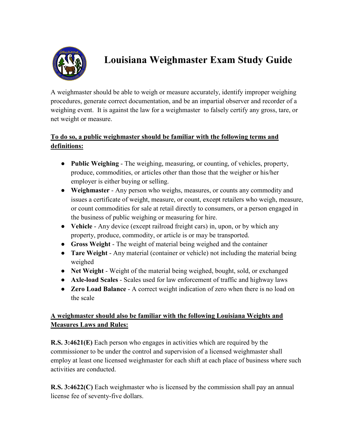

# **Louisiana Weighmaster Exam Study Guide**

A weighmaster should be able to weigh or measure accurately, identify improper weighing procedures, generate correct documentation, and be an impartial observer and recorder of a weighing event. It is against the law for a weighmaster to falsely certify any gross, tare, or net weight or measure.

## **To do so, a public weighmaster should be familiar with the following terms and definitions:**

- **Public Weighing** The weighing, measuring, or counting, of vehicles, property, produce, commodities, or articles other than those that the weigher or his/her employer is either buying or selling.
- **Weighmaster** Any person who weighs, measures, or counts any commodity and issues a certificate of weight, measure, or count, except retailers who weigh, measure, or count commodities for sale at retail directly to consumers, or a person engaged in the business of public weighing or measuring for hire.
- **Vehicle** Any device (except railroad freight cars) in, upon, or by which any property, produce, commodity, or article is or may be transported.
- **Gross Weight** The weight of material being weighed and the container
- **Tare Weight** Any material (container or vehicle) not including the material being weighed
- **Net Weight** Weight of the material being weighed, bought, sold, or exchanged
- **Axle-load Scales** Scales used for law enforcement of traffic and highway laws
- **Zero Load Balance** A correct weight indication of zero when there is no load on the scale

### **A weighmaster should also be familiar with the following Louisiana Weights and Measures Laws and Rules:**

**R.S. 3:4621(E)** Each person who engages in activities which are required by the commissioner to be under the control and supervision of a licensed weighmaster shall employ at least one licensed weighmaster for each shift at each place of business where such activities are conducted.

**R.S. 3:4622(C)** Each weighmaster who is licensed by the commission shall pay an annual license fee of seventy-five dollars.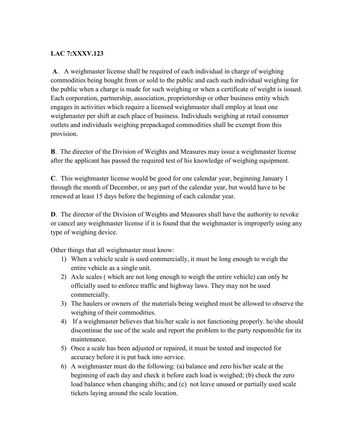#### **LAC 7:XXXV.123**

**A**. A weighmaster license shall be required of each individual in charge of weighing commodities being bought from or sold to the public and each such individual weighing for the public when a charge is made for such weighing or when a certificate of weight is issued. Each corporation, partnership, association, proprietorship or other business entity which engages in activities which require a licensed weighmaster shall employ at least one weighmaster per shift at each place of business. Individuals weighing at retail consumer outlets and individuals weighing prepackaged commodities shall be exempt from this provision.

**B**. The director of the Division of Weights and Measures may issue a weighmaster license after the applicant has passed the required test of his knowledge of weighing equipment.

**C**. This weighmaster license would be good for one calendar year, beginning January 1 through the month of December, or any part of the calendar year, but would have to be renewed at least 15 days before the beginning of each calendar year.

**D**. The director of the Division of Weights and Measures shall have the authority to revoke or cancel any weighmaster license if it is found that the weighmaster is improperly using any type of weighing device.

Other things that all weighmaster must know:

- 1) When a vehicle scale is used commercially, it must be long enough to weigh the entire vehicle as a single unit.
- 2) Axle scales ( which are not long enough to weigh the entire vehicle) can only be officially used to enforce traffic and highway laws. They may not be used commercially.
- 3) The haulers or owners of the materials being weighed must be allowed to observe the weighing of their commodities.
- 4) If a weighmaster believes that his/her scale is not functioning properly. he/she should discontinue the use of the scale and report the problem to the party responsible for its maintenance.
- 5) Once a scale has been adjusted or repaired, it must be tested and inspected for accuracy before it is put back into service.
- 6) A weighmaster must do the following: (a) balance and zero his/her scale at the beginning of each day and check it before each load is weighed; (b) check the zero load balance when changing shifts; and (c) not leave unused or partially used scale tickets laying around the scale location.